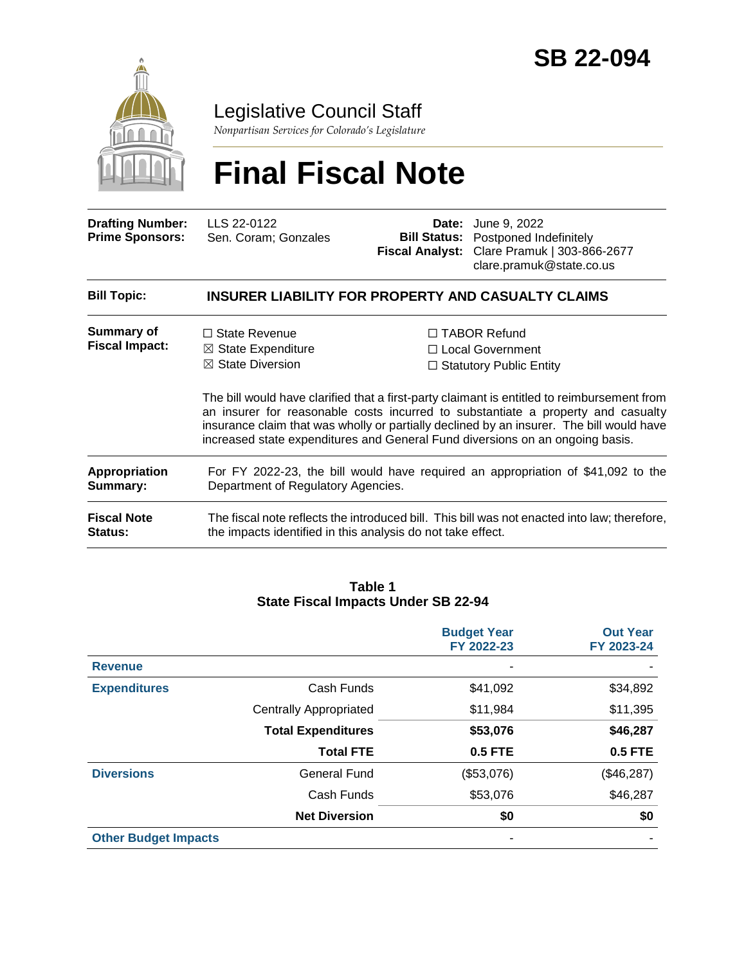

Legislative Council Staff

*Nonpartisan Services for Colorado's Legislature*

# **Final Fiscal Note**

| <b>Drafting Number:</b><br><b>Prime Sponsors:</b> | LLS 22-0122<br>Sen. Coram: Gonzales | <b>Date:</b> June 9, 2022<br><b>Bill Status:</b> Postponed Indefinitely<br><b>Fiscal Analyst:</b> Clare Pramuk   303-866-2677 |
|---------------------------------------------------|-------------------------------------|-------------------------------------------------------------------------------------------------------------------------------|
|                                                   |                                     | clare.pramuk@state.co.us                                                                                                      |

| <b>Bill Topic:</b>                   | <b>INSURER LIABILITY FOR PROPERTY AND CASUALTY CLAIMS</b>                                                                                                                                                                                                                                                                                                    |                                                                                                                        |  |  |
|--------------------------------------|--------------------------------------------------------------------------------------------------------------------------------------------------------------------------------------------------------------------------------------------------------------------------------------------------------------------------------------------------------------|------------------------------------------------------------------------------------------------------------------------|--|--|
| <b>Summary of</b>                    | $\Box$ State Revenue                                                                                                                                                                                                                                                                                                                                         | $\Box$ TABOR Refund                                                                                                    |  |  |
| <b>Fiscal Impact:</b>                | $\boxtimes$ State Expenditure                                                                                                                                                                                                                                                                                                                                | $\Box$ Local Government                                                                                                |  |  |
|                                      | $\boxtimes$ State Diversion                                                                                                                                                                                                                                                                                                                                  | $\Box$ Statutory Public Entity                                                                                         |  |  |
|                                      | The bill would have clarified that a first-party claimant is entitled to reimbursement from<br>an insurer for reasonable costs incurred to substantiate a property and casualty<br>insurance claim that was wholly or partially declined by an insurer. The bill would have<br>increased state expenditures and General Fund diversions on an ongoing basis. |                                                                                                                        |  |  |
| Appropriation<br>Summary:            |                                                                                                                                                                                                                                                                                                                                                              | For FY 2022-23, the bill would have required an appropriation of \$41,092 to the<br>Department of Regulatory Agencies. |  |  |
| <b>Fiscal Note</b><br><b>Status:</b> | the impacts identified in this analysis do not take effect.                                                                                                                                                                                                                                                                                                  | The fiscal note reflects the introduced bill. This bill was not enacted into law; therefore,                           |  |  |

#### **Table 1 State Fiscal Impacts Under SB 22-94**

|                             |                               | <b>Budget Year</b><br>FY 2022-23 | <b>Out Year</b><br>FY 2023-24 |
|-----------------------------|-------------------------------|----------------------------------|-------------------------------|
| <b>Revenue</b>              |                               |                                  |                               |
| <b>Expenditures</b>         | Cash Funds                    | \$41,092                         | \$34,892                      |
|                             | <b>Centrally Appropriated</b> | \$11,984                         | \$11,395                      |
|                             | <b>Total Expenditures</b>     | \$53,076                         | \$46,287                      |
|                             | <b>Total FTE</b>              | <b>0.5 FTE</b>                   | <b>0.5 FTE</b>                |
| <b>Diversions</b>           | <b>General Fund</b>           | (\$53,076)                       | (\$46,287)                    |
|                             | Cash Funds                    | \$53,076                         | \$46,287                      |
|                             | <b>Net Diversion</b>          | \$0                              | \$0                           |
| <b>Other Budget Impacts</b> |                               | ۰                                |                               |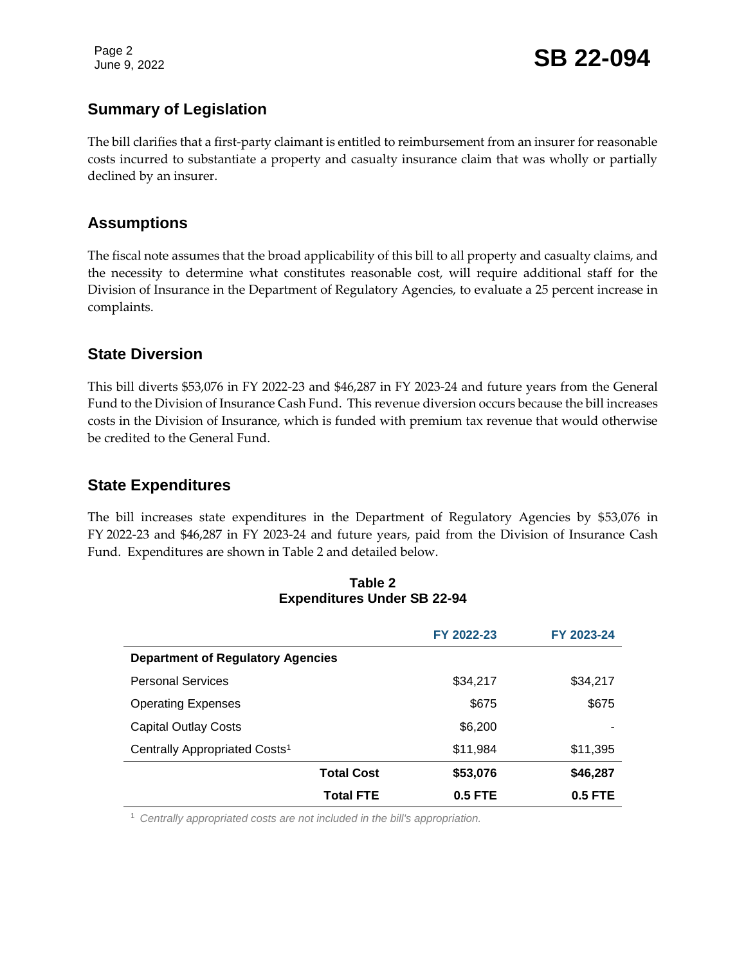Page 2

Page 2<br>June 9, 2022 **SB 22-094** 

# **Summary of Legislation**

The bill clarifies that a first-party claimant is entitled to reimbursement from an insurer for reasonable costs incurred to substantiate a property and casualty insurance claim that was wholly or partially declined by an insurer.

## **Assumptions**

The fiscal note assumes that the broad applicability of this bill to all property and casualty claims, and the necessity to determine what constitutes reasonable cost, will require additional staff for the Division of Insurance in the Department of Regulatory Agencies, to evaluate a 25 percent increase in complaints.

#### **State Diversion**

This bill diverts \$53,076 in FY 2022-23 and \$46,287 in FY 2023-24 and future years from the General Fund to the Division of Insurance Cash Fund. This revenue diversion occurs because the bill increases costs in the Division of Insurance, which is funded with premium tax revenue that would otherwise be credited to the General Fund.

#### **State Expenditures**

The bill increases state expenditures in the Department of Regulatory Agencies by \$53,076 in FY 2022-23 and \$46,287 in FY 2023-24 and future years, paid from the Division of Insurance Cash Fund. Expenditures are shown in Table 2 and detailed below.

|                                           | FY 2022-23 | FY 2023-24 |
|-------------------------------------------|------------|------------|
| <b>Department of Regulatory Agencies</b>  |            |            |
| <b>Personal Services</b>                  | \$34,217   | \$34,217   |
| <b>Operating Expenses</b>                 | \$675      | \$675      |
| <b>Capital Outlay Costs</b>               | \$6,200    |            |
| Centrally Appropriated Costs <sup>1</sup> | \$11,984   | \$11,395   |
| <b>Total Cost</b>                         | \$53,076   | \$46,287   |
| <b>Total FTE</b>                          | $0.5$ FTE  | $0.5$ FTE  |

#### **Table 2 Expenditures Under SB 22-94**

<sup>1</sup> *Centrally appropriated costs are not included in the bill's appropriation.*